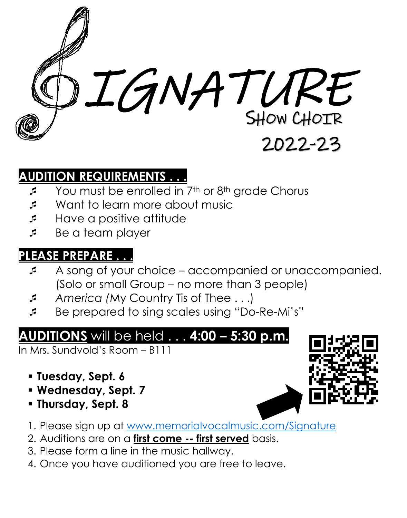

## **AUDITION REQUIREMENTS . . .**

- You must be enrolled in 7<sup>th</sup> or 8<sup>th</sup> grade Chorus
- Want to learn more about music
- Have a positive attitude
- Be a team player

#### **PLEASE PREPARE . . .**

- A song of your choice accompanied or unaccompanied. (Solo or small Group – no more than 3 people)
- *America (*My Country Tis of Thee . . .)
- Be prepared to sing scales using "Do-Re-Mi's"

# **AUDITIONS** will be held . . . **4:00 – 5:30 p.m.**

In Mrs. Sundvold's Room – B111

- **Tuesday, Sept. 6**
- **Wednesday, Sept. 7**
- **Thursday, Sept. 8**



- 2. Auditions are on a **first come -- first served** basis.
- 3. Please form a line in the music hallway.
- 4. Once you have auditioned you are free to leave.